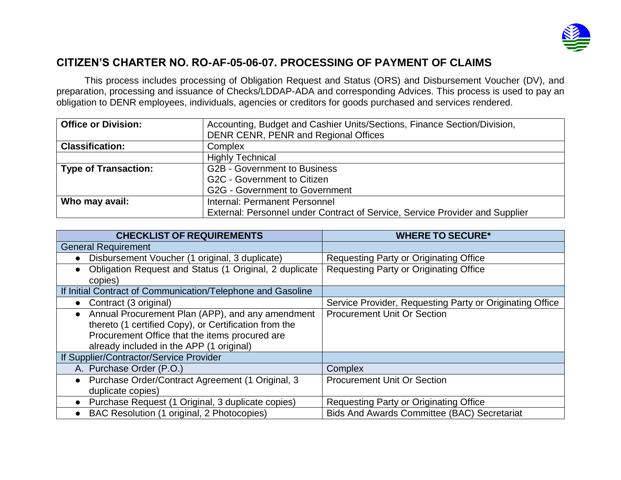

## **CITIZEN'S CHARTER NO. RO-AF-05-06-07. PROCESSING OF PAYMENT OF CLAIMS**

This process includes processing of Obligation Request and Status (ORS) and Disbursement Voucher (DV), and preparation, processing and issuance of Checks/LDDAP-ADA and corresponding Advices. This process is used to pay an obligation to DENR employees, individuals, agencies or creditors for goods purchased and services rendered.

| <b>Office or Division:</b>  | Accounting, Budget and Cashier Units/Sections, Finance Section/Division,     |  |
|-----------------------------|------------------------------------------------------------------------------|--|
|                             | DENR CENR, PENR and Regional Offices                                         |  |
| <b>Classification:</b>      | Complex                                                                      |  |
|                             | <b>Highly Technical</b>                                                      |  |
| <b>Type of Transaction:</b> | <b>G2B - Government to Business</b>                                          |  |
|                             | G2C - Government to Citizen                                                  |  |
|                             | <b>G2G - Government to Government</b>                                        |  |
| Who may avail:              | Internal: Permanent Personnel                                                |  |
|                             | External: Personnel under Contract of Service, Service Provider and Supplier |  |

| <b>CHECKLIST OF REQUIREMENTS</b>                                    | <b>WHERE TO SECURE*</b>                                  |
|---------------------------------------------------------------------|----------------------------------------------------------|
| <b>General Requirement</b>                                          |                                                          |
| Disbursement Voucher (1 original, 3 duplicate)                      | <b>Requesting Party or Originating Office</b>            |
| Obligation Request and Status (1 Original, 2 duplicate<br>$\bullet$ | <b>Requesting Party or Originating Office</b>            |
| copies)                                                             |                                                          |
| If Initial Contract of Communication/Telephone and Gasoline         |                                                          |
| Contract (3 original)<br>$\bullet$                                  | Service Provider, Requesting Party or Originating Office |
| Annual Procurement Plan (APP), and any amendment<br>$\bullet$       | <b>Procurement Unit Or Section</b>                       |
| thereto (1 certified Copy), or Certification from the               |                                                          |
| Procurement Office that the items procured are                      |                                                          |
| already included in the APP (1 original)                            |                                                          |
| If Supplier/Contractor/Service Provider                             |                                                          |
| A. Purchase Order (P.O.)                                            | Complex                                                  |
| Purchase Order/Contract Agreement (1 Original, 3<br>$\bullet$       | <b>Procurement Unit Or Section</b>                       |
| duplicate copies)                                                   |                                                          |
| Purchase Request (1 Original, 3 duplicate copies)                   | <b>Requesting Party or Originating Office</b>            |
| BAC Resolution (1 original, 2 Photocopies)<br>$\bullet$             | <b>Bids And Awards Committee (BAC) Secretariat</b>       |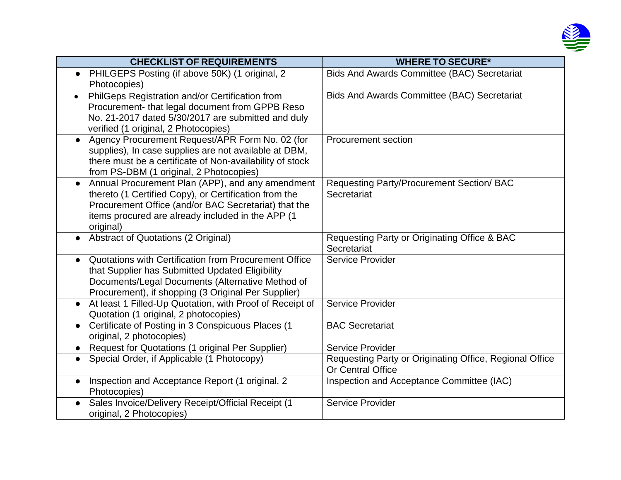

| <b>CHECKLIST OF REQUIREMENTS</b>                                                                              | <b>WHERE TO SECURE*</b>                                  |
|---------------------------------------------------------------------------------------------------------------|----------------------------------------------------------|
| PHILGEPS Posting (if above 50K) (1 original, 2<br>$\bullet$                                                   | <b>Bids And Awards Committee (BAC) Secretariat</b>       |
| Photocopies)                                                                                                  |                                                          |
| PhilGeps Registration and/or Certification from<br>$\bullet$                                                  | <b>Bids And Awards Committee (BAC) Secretariat</b>       |
| Procurement- that legal document from GPPB Reso                                                               |                                                          |
| No. 21-2017 dated 5/30/2017 are submitted and duly                                                            |                                                          |
| verified (1 original, 2 Photocopies)                                                                          |                                                          |
| Agency Procurement Request/APR Form No. 02 (for<br>$\bullet$                                                  | <b>Procurement section</b>                               |
| supplies), In case supplies are not available at DBM,                                                         |                                                          |
| there must be a certificate of Non-availability of stock                                                      |                                                          |
| from PS-DBM (1 original, 2 Photocopies)                                                                       |                                                          |
| Annual Procurement Plan (APP), and any amendment<br>$\bullet$                                                 | Requesting Party/Procurement Section/ BAC<br>Secretariat |
| thereto (1 Certified Copy), or Certification from the<br>Procurement Office (and/or BAC Secretariat) that the |                                                          |
| items procured are already included in the APP (1)                                                            |                                                          |
| original)                                                                                                     |                                                          |
| Abstract of Quotations (2 Original)                                                                           | Requesting Party or Originating Office & BAC             |
|                                                                                                               | Secretariat                                              |
| Quotations with Certification from Procurement Office                                                         | Service Provider                                         |
| that Supplier has Submitted Updated Eligibility                                                               |                                                          |
| Documents/Legal Documents (Alternative Method of                                                              |                                                          |
| Procurement), if shopping (3 Original Per Supplier)                                                           |                                                          |
| At least 1 Filled-Up Quotation, with Proof of Receipt of<br>$\bullet$                                         | <b>Service Provider</b>                                  |
| Quotation (1 original, 2 photocopies)                                                                         |                                                          |
| Certificate of Posting in 3 Conspicuous Places (1<br>$\bullet$                                                | <b>BAC Secretariat</b>                                   |
| original, 2 photocopies)                                                                                      |                                                          |
| • Request for Quotations (1 original Per Supplier)                                                            | <b>Service Provider</b>                                  |
| Special Order, if Applicable (1 Photocopy)                                                                    | Requesting Party or Originating Office, Regional Office  |
|                                                                                                               | Or Central Office                                        |
| Inspection and Acceptance Report (1 original, 2                                                               | Inspection and Acceptance Committee (IAC)                |
| Photocopies)                                                                                                  |                                                          |
| Sales Invoice/Delivery Receipt/Official Receipt (1                                                            | <b>Service Provider</b>                                  |
| original, 2 Photocopies)                                                                                      |                                                          |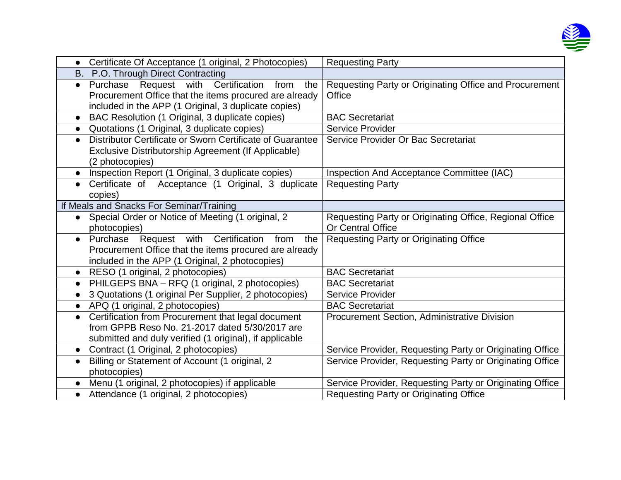

| $\bullet$ | Certificate Of Acceptance (1 original, 2 Photocopies)                                                                                                                | <b>Requesting Party</b>                                                             |
|-----------|----------------------------------------------------------------------------------------------------------------------------------------------------------------------|-------------------------------------------------------------------------------------|
|           | B. P.O. Through Direct Contracting                                                                                                                                   |                                                                                     |
| $\bullet$ | Purchase Request with Certification<br>the<br>from<br>Procurement Office that the items procured are already<br>included in the APP (1 Original, 3 duplicate copies) | Requesting Party or Originating Office and Procurement<br>Office                    |
| $\bullet$ | BAC Resolution (1 Original, 3 duplicate copies)                                                                                                                      | <b>BAC Secretariat</b>                                                              |
| $\bullet$ | Quotations (1 Original, 3 duplicate copies)                                                                                                                          | Service Provider                                                                    |
| $\bullet$ | Distributor Certificate or Sworn Certificate of Guarantee<br>Exclusive Distributorship Agreement (If Applicable)<br>(2 photocopies)                                  | Service Provider Or Bac Secretariat                                                 |
| $\bullet$ | Inspection Report (1 Original, 3 duplicate copies)                                                                                                                   | Inspection And Acceptance Committee (IAC)                                           |
| $\bullet$ | Certificate of Acceptance (1 Original, 3 duplicate<br>copies)                                                                                                        | <b>Requesting Party</b>                                                             |
|           | If Meals and Snacks For Seminar/Training                                                                                                                             |                                                                                     |
| $\bullet$ | Special Order or Notice of Meeting (1 original, 2<br>photocopies)                                                                                                    | Requesting Party or Originating Office, Regional Office<br><b>Or Central Office</b> |
| $\bullet$ | Purchase Request with Certification<br>from<br>the<br>Procurement Office that the items procured are already<br>included in the APP (1 Original, 2 photocopies)      | <b>Requesting Party or Originating Office</b>                                       |
| $\bullet$ | RESO (1 original, 2 photocopies)                                                                                                                                     | <b>BAC Secretariat</b>                                                              |
| $\bullet$ | PHILGEPS BNA - RFQ (1 original, 2 photocopies)                                                                                                                       | <b>BAC Secretariat</b>                                                              |
| $\bullet$ | 3 Quotations (1 original Per Supplier, 2 photocopies)                                                                                                                | <b>Service Provider</b>                                                             |
| $\bullet$ | APQ (1 original, 2 photocopies)                                                                                                                                      | <b>BAC Secretariat</b>                                                              |
| $\bullet$ | Certification from Procurement that legal document<br>from GPPB Reso No. 21-2017 dated 5/30/2017 are<br>submitted and duly verified (1 original), if applicable      | Procurement Section, Administrative Division                                        |
|           | • Contract (1 Original, 2 photocopies)                                                                                                                               | Service Provider, Requesting Party or Originating Office                            |
| $\bullet$ | Billing or Statement of Account (1 original, 2<br>photocopies)                                                                                                       | Service Provider, Requesting Party or Originating Office                            |
|           | Menu (1 original, 2 photocopies) if applicable                                                                                                                       | Service Provider, Requesting Party or Originating Office                            |
| $\bullet$ | Attendance (1 original, 2 photocopies)                                                                                                                               | <b>Requesting Party or Originating Office</b>                                       |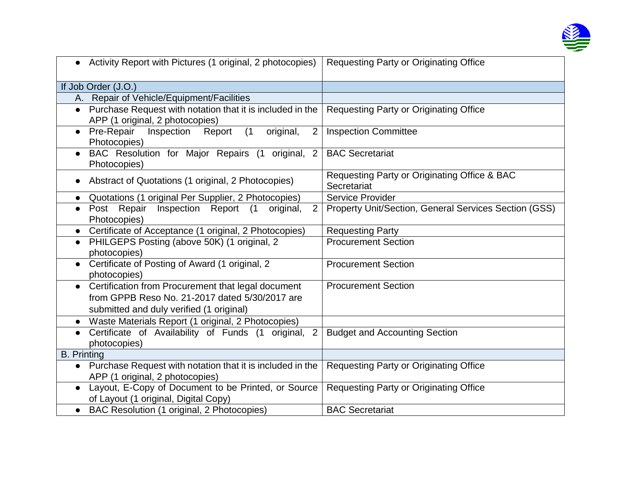

| • Activity Report with Pictures (1 original, 2 photocopies)                                                                                                   | <b>Requesting Party or Originating Office</b>               |
|---------------------------------------------------------------------------------------------------------------------------------------------------------------|-------------------------------------------------------------|
| If Job Order (J.O.)                                                                                                                                           |                                                             |
| A. Repair of Vehicle/Equipment/Facilities                                                                                                                     |                                                             |
| Purchase Request with notation that it is included in the<br>$\bullet$<br>APP (1 original, 2 photocopies)                                                     | <b>Requesting Party or Originating Office</b>               |
| Pre-Repair Inspection<br>(1)<br>original,<br>2<br>Report<br>$\bullet$<br>Photocopies)                                                                         | <b>Inspection Committee</b>                                 |
| BAC Resolution for Major Repairs (1 original, 2<br>$\bullet$<br>Photocopies)                                                                                  | <b>BAC Secretariat</b>                                      |
| Abstract of Quotations (1 original, 2 Photocopies)                                                                                                            | Requesting Party or Originating Office & BAC<br>Secretariat |
| Quotations (1 original Per Supplier, 2 Photocopies)                                                                                                           | <b>Service Provider</b>                                     |
| 2<br>• Post Repair Inspection Report (1<br>original,<br>Photocopies)                                                                                          | Property Unit/Section, General Services Section (GSS)       |
| Certificate of Acceptance (1 original, 2 Photocopies)                                                                                                         | <b>Requesting Party</b>                                     |
| PHILGEPS Posting (above 50K) (1 original, 2<br>$\bullet$<br>photocopies)                                                                                      | <b>Procurement Section</b>                                  |
| Certificate of Posting of Award (1 original, 2<br>$\bullet$<br>photocopies)                                                                                   | <b>Procurement Section</b>                                  |
| Certification from Procurement that legal document<br>$\bullet$<br>from GPPB Reso No. 21-2017 dated 5/30/2017 are<br>submitted and duly verified (1 original) | <b>Procurement Section</b>                                  |
| Waste Materials Report (1 original, 2 Photocopies)<br>$\bullet$                                                                                               |                                                             |
| Certificate of Availability of Funds (1 original,<br>$\overline{2}$<br>photocopies)                                                                           | <b>Budget and Accounting Section</b>                        |
| <b>B.</b> Printing                                                                                                                                            |                                                             |
| Purchase Request with notation that it is included in the<br>$\bullet$<br>APP (1 original, 2 photocopies)                                                     | <b>Requesting Party or Originating Office</b>               |
| Layout, E-Copy of Document to be Printed, or Source<br>of Layout (1 original, Digital Copy)                                                                   | <b>Requesting Party or Originating Office</b>               |
| BAC Resolution (1 original, 2 Photocopies)                                                                                                                    | <b>BAC Secretariat</b>                                      |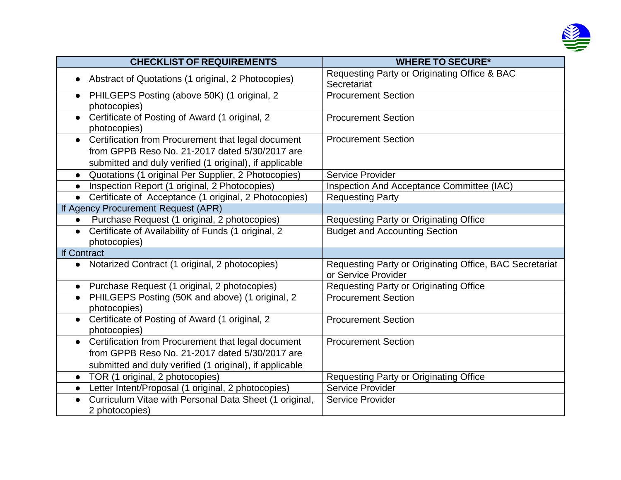

| <b>CHECKLIST OF REQUIREMENTS</b>                                                                                                                                             | <b>WHERE TO SECURE*</b>                                                        |
|------------------------------------------------------------------------------------------------------------------------------------------------------------------------------|--------------------------------------------------------------------------------|
| Abstract of Quotations (1 original, 2 Photocopies)                                                                                                                           | Requesting Party or Originating Office & BAC<br>Secretariat                    |
| PHILGEPS Posting (above 50K) (1 original, 2<br>$\bullet$<br>photocopies)                                                                                                     | <b>Procurement Section</b>                                                     |
| Certificate of Posting of Award (1 original, 2<br>$\bullet$<br>photocopies)                                                                                                  | <b>Procurement Section</b>                                                     |
| Certification from Procurement that legal document<br>$\bullet$                                                                                                              | <b>Procurement Section</b>                                                     |
| from GPPB Reso No. 21-2017 dated 5/30/2017 are                                                                                                                               |                                                                                |
| submitted and duly verified (1 original), if applicable                                                                                                                      |                                                                                |
| Quotations (1 original Per Supplier, 2 Photocopies)<br>$\bullet$                                                                                                             | Service Provider                                                               |
| Inspection Report (1 original, 2 Photocopies)                                                                                                                                | Inspection And Acceptance Committee (IAC)                                      |
| Certificate of Acceptance (1 original, 2 Photocopies)<br>$\bullet$                                                                                                           | <b>Requesting Party</b>                                                        |
| If Agency Procurement Request (APR)                                                                                                                                          |                                                                                |
| Purchase Request (1 original, 2 photocopies)                                                                                                                                 | <b>Requesting Party or Originating Office</b>                                  |
| Certificate of Availability of Funds (1 original, 2<br>$\bullet$<br>photocopies)                                                                                             | <b>Budget and Accounting Section</b>                                           |
| If Contract                                                                                                                                                                  |                                                                                |
| Notarized Contract (1 original, 2 photocopies)<br>$\bullet$                                                                                                                  | Requesting Party or Originating Office, BAC Secretariat<br>or Service Provider |
| • Purchase Request (1 original, 2 photocopies)                                                                                                                               | <b>Requesting Party or Originating Office</b>                                  |
| PHILGEPS Posting (50K and above) (1 original, 2<br>$\bullet$<br>photocopies)                                                                                                 | <b>Procurement Section</b>                                                     |
| Certificate of Posting of Award (1 original, 2<br>$\bullet$<br>photocopies)                                                                                                  | <b>Procurement Section</b>                                                     |
| Certification from Procurement that legal document<br>$\bullet$<br>from GPPB Reso No. 21-2017 dated 5/30/2017 are<br>submitted and duly verified (1 original), if applicable | <b>Procurement Section</b>                                                     |
| TOR (1 original, 2 photocopies)                                                                                                                                              | <b>Requesting Party or Originating Office</b>                                  |
| Letter Intent/Proposal (1 original, 2 photocopies)                                                                                                                           | <b>Service Provider</b>                                                        |
| Curriculum Vitae with Personal Data Sheet (1 original,<br>2 photocopies)                                                                                                     | <b>Service Provider</b>                                                        |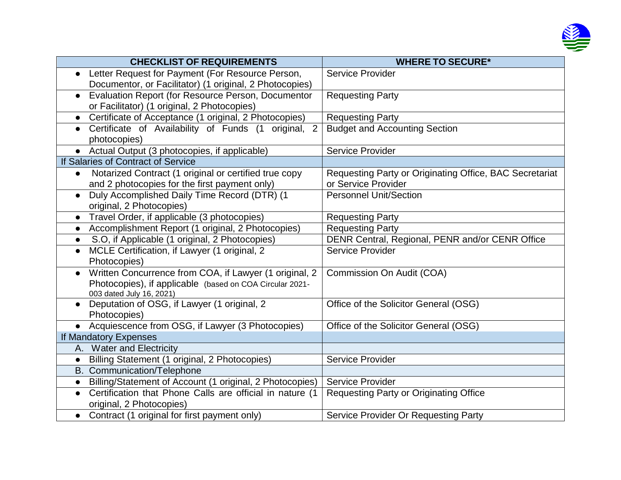

| <b>CHECKLIST OF REQUIREMENTS</b>                                                                  | <b>WHERE TO SECURE*</b>                                 |
|---------------------------------------------------------------------------------------------------|---------------------------------------------------------|
| • Letter Request for Payment (For Resource Person,                                                | <b>Service Provider</b>                                 |
| Documentor, or Facilitator) (1 original, 2 Photocopies)                                           |                                                         |
| Evaluation Report (for Resource Person, Documentor<br>$\bullet$                                   | <b>Requesting Party</b>                                 |
| or Facilitator) (1 original, 2 Photocopies)                                                       |                                                         |
| Certificate of Acceptance (1 original, 2 Photocopies)<br>$\bullet$                                | <b>Requesting Party</b>                                 |
| Certificate of Availability of Funds (1<br>$\overline{2}$<br>original,<br>$\bullet$               | <b>Budget and Accounting Section</b>                    |
| photocopies)                                                                                      |                                                         |
| • Actual Output (3 photocopies, if applicable)                                                    | <b>Service Provider</b>                                 |
| If Salaries of Contract of Service                                                                |                                                         |
| Notarized Contract (1 original or certified true copy<br>$\bullet$                                | Requesting Party or Originating Office, BAC Secretariat |
| and 2 photocopies for the first payment only)                                                     | or Service Provider                                     |
| Duly Accomplished Daily Time Record (DTR) (1<br>$\bullet$                                         | <b>Personnel Unit/Section</b>                           |
| original, 2 Photocopies)                                                                          |                                                         |
| Travel Order, if applicable (3 photocopies)<br>$\bullet$                                          | <b>Requesting Party</b>                                 |
| Accomplishment Report (1 original, 2 Photocopies)<br>$\bullet$                                    | <b>Requesting Party</b>                                 |
| S.O, if Applicable (1 original, 2 Photocopies)<br>$\bullet$                                       | DENR Central, Regional, PENR and/or CENR Office         |
| MCLE Certification, if Lawyer (1 original, 2<br>$\bullet$                                         | Service Provider                                        |
| Photocopies)                                                                                      |                                                         |
| Written Concurrence from COA, if Lawyer (1 original, 2<br>$\bullet$                               | Commission On Audit (COA)                               |
| Photocopies), if applicable (based on COA Circular 2021-                                          |                                                         |
| 003 dated July 16, 2021)                                                                          |                                                         |
| Deputation of OSG, if Lawyer (1 original, 2<br>$\bullet$                                          | Office of the Solicitor General (OSG)                   |
| Photocopies)                                                                                      |                                                         |
| • Acquiescence from OSG, if Lawyer (3 Photocopies)                                                | Office of the Solicitor General (OSG)                   |
| If Mandatory Expenses                                                                             |                                                         |
| A. Water and Electricity                                                                          |                                                         |
| Billing Statement (1 original, 2 Photocopies)                                                     | <b>Service Provider</b>                                 |
| B. Communication/Telephone                                                                        |                                                         |
| Billing/Statement of Account (1 original, 2 Photocopies)<br>$\bullet$                             | <b>Service Provider</b>                                 |
| Certification that Phone Calls are official in nature (1<br>$\bullet$<br>original, 2 Photocopies) | <b>Requesting Party or Originating Office</b>           |
| • Contract (1 original for first payment only)                                                    | Service Provider Or Requesting Party                    |
|                                                                                                   |                                                         |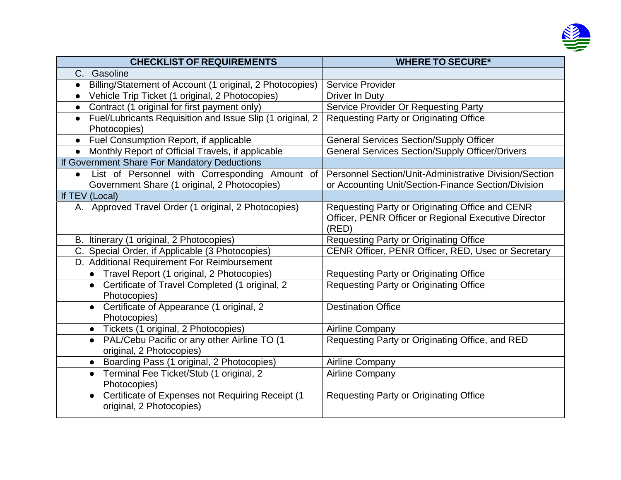

| <b>CHECKLIST OF REQUIREMENTS</b>                                                                            | <b>WHERE TO SECURE*</b>                                                                                              |
|-------------------------------------------------------------------------------------------------------------|----------------------------------------------------------------------------------------------------------------------|
| C. Gasoline                                                                                                 |                                                                                                                      |
| Billing/Statement of Account (1 original, 2 Photocopies)                                                    | Service Provider                                                                                                     |
| Vehicle Trip Ticket (1 original, 2 Photocopies)<br>$\bullet$                                                | Driver In Duty                                                                                                       |
| Contract (1 original for first payment only)<br>$\bullet$                                                   | Service Provider Or Requesting Party                                                                                 |
| Fuel/Lubricants Requisition and Issue Slip (1 original, 2<br>Photocopies)                                   | Requesting Party or Originating Office                                                                               |
| Fuel Consumption Report, if applicable<br>$\bullet$                                                         | <b>General Services Section/Supply Officer</b>                                                                       |
| Monthly Report of Official Travels, if applicable                                                           | <b>General Services Section/Supply Officer/Drivers</b>                                                               |
| If Government Share For Mandatory Deductions                                                                |                                                                                                                      |
| List of Personnel with Corresponding Amount of<br>$\bullet$<br>Government Share (1 original, 2 Photocopies) | <b>Personnel Section/Unit-Administrative Division/Section</b><br>or Accounting Unit/Section-Finance Section/Division |
| If TEV (Local)                                                                                              |                                                                                                                      |
| A. Approved Travel Order (1 original, 2 Photocopies)                                                        | Requesting Party or Originating Office and CENR<br>Officer, PENR Officer or Regional Executive Director<br>(RED)     |
| B. Itinerary (1 original, 2 Photocopies)                                                                    | <b>Requesting Party or Originating Office</b>                                                                        |
| C. Special Order, if Applicable (3 Photocopies)                                                             | CENR Officer, PENR Officer, RED, Usec or Secretary                                                                   |
| D. Additional Requirement For Reimbursement                                                                 |                                                                                                                      |
| • Travel Report (1 original, 2 Photocopies)                                                                 | <b>Requesting Party or Originating Office</b>                                                                        |
| • Certificate of Travel Completed (1 original, 2<br>Photocopies)                                            | <b>Requesting Party or Originating Office</b>                                                                        |
| Certificate of Appearance (1 original, 2<br>$\bullet$<br>Photocopies)                                       | <b>Destination Office</b>                                                                                            |
| • Tickets (1 original, 2 Photocopies)                                                                       | <b>Airline Company</b>                                                                                               |
| PAL/Cebu Pacific or any other Airline TO (1<br>$\bullet$<br>original, 2 Photocopies)                        | Requesting Party or Originating Office, and RED                                                                      |
| • Boarding Pass (1 original, 2 Photocopies)                                                                 | <b>Airline Company</b>                                                                                               |
| • Terminal Fee Ticket/Stub (1 original, 2<br>Photocopies)                                                   | <b>Airline Company</b>                                                                                               |
| Certificate of Expenses not Requiring Receipt (1<br>$\bullet$<br>original, 2 Photocopies)                   | <b>Requesting Party or Originating Office</b>                                                                        |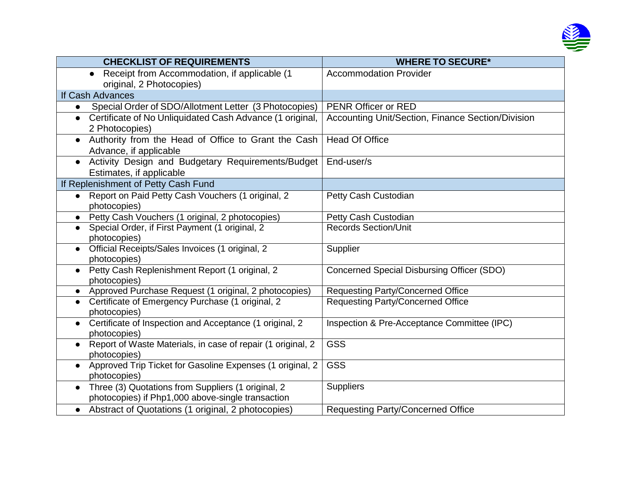

| <b>CHECKLIST OF REQUIREMENTS</b>                                       | <b>WHERE TO SECURE*</b>                           |
|------------------------------------------------------------------------|---------------------------------------------------|
| Receipt from Accommodation, if applicable (1<br>$\bullet$              | <b>Accommodation Provider</b>                     |
| original, 2 Photocopies)                                               |                                                   |
| If Cash Advances                                                       |                                                   |
| Special Order of SDO/Allotment Letter (3 Photocopies)<br>$\bullet$     | PENR Officer or RED                               |
| Certificate of No Unliquidated Cash Advance (1 original,<br>$\bullet$  | Accounting Unit/Section, Finance Section/Division |
| 2 Photocopies)                                                         |                                                   |
| Authority from the Head of Office to Grant the Cash                    | <b>Head Of Office</b>                             |
| Advance, if applicable                                                 |                                                   |
| Activity Design and Budgetary Requirements/Budget<br>$\bullet$         | End-user/s                                        |
| Estimates, if applicable                                               |                                                   |
| If Replenishment of Petty Cash Fund                                    |                                                   |
| • Report on Paid Petty Cash Vouchers (1 original, 2                    | Petty Cash Custodian                              |
| photocopies)                                                           |                                                   |
| Petty Cash Vouchers (1 original, 2 photocopies)                        | Petty Cash Custodian                              |
| Special Order, if First Payment (1 original, 2<br>$\bullet$            | <b>Records Section/Unit</b>                       |
| photocopies)                                                           |                                                   |
| Official Receipts/Sales Invoices (1 original, 2<br>$\bullet$           | Supplier                                          |
| photocopies)                                                           |                                                   |
| Petty Cash Replenishment Report (1 original, 2<br>$\bullet$            | Concerned Special Disbursing Officer (SDO)        |
| photocopies)                                                           |                                                   |
| Approved Purchase Request (1 original, 2 photocopies)                  | <b>Requesting Party/Concerned Office</b>          |
| Certificate of Emergency Purchase (1 original, 2<br>photocopies)       | <b>Requesting Party/Concerned Office</b>          |
| Certificate of Inspection and Acceptance (1 original, 2                | Inspection & Pre-Acceptance Committee (IPC)       |
| photocopies)                                                           |                                                   |
| Report of Waste Materials, in case of repair (1 original, 2            | <b>GSS</b>                                        |
| photocopies)                                                           |                                                   |
| Approved Trip Ticket for Gasoline Expenses (1 original, 2<br>$\bullet$ | <b>GSS</b>                                        |
| photocopies)                                                           |                                                   |
| Three (3) Quotations from Suppliers (1 original, 2<br>$\bullet$        | <b>Suppliers</b>                                  |
| photocopies) if Php1,000 above-single transaction                      |                                                   |
| Abstract of Quotations (1 original, 2 photocopies)<br>$\bullet$        | <b>Requesting Party/Concerned Office</b>          |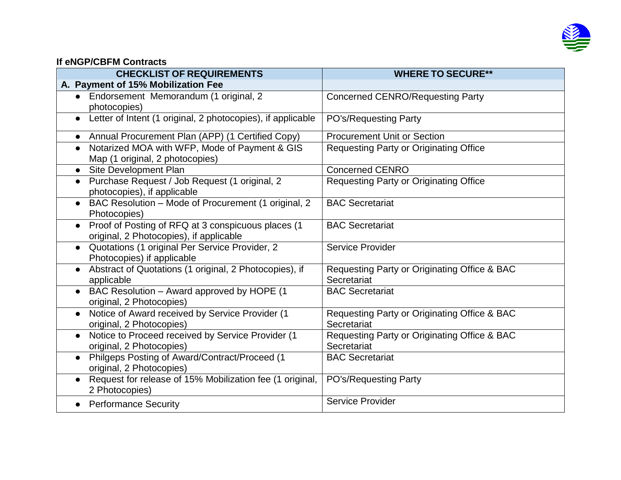

## **If eNGP/CBFM Contracts**

| <b>CHECKLIST OF REQUIREMENTS</b>                                                                           | <b>WHERE TO SECURE**</b>                                    |
|------------------------------------------------------------------------------------------------------------|-------------------------------------------------------------|
| A. Payment of 15% Mobilization Fee                                                                         |                                                             |
| • Endorsement Memorandum (1 original, 2<br>photocopies)                                                    | <b>Concerned CENRO/Requesting Party</b>                     |
| Letter of Intent (1 original, 2 photocopies), if applicable<br>$\bullet$                                   | PO's/Requesting Party                                       |
| Annual Procurement Plan (APP) (1 Certified Copy)<br>$\bullet$                                              | <b>Procurement Unit or Section</b>                          |
| Notarized MOA with WFP, Mode of Payment & GIS<br>$\bullet$<br>Map (1 original, 2 photocopies)              | <b>Requesting Party or Originating Office</b>               |
| Site Development Plan<br>$\bullet$                                                                         | <b>Concerned CENRO</b>                                      |
| • Purchase Request / Job Request (1 original, 2<br>photocopies), if applicable                             | <b>Requesting Party or Originating Office</b>               |
| BAC Resolution - Mode of Procurement (1 original, 2<br>$\bullet$<br>Photocopies)                           | <b>BAC Secretariat</b>                                      |
| Proof of Posting of RFQ at 3 conspicuous places (1<br>$\bullet$<br>original, 2 Photocopies), if applicable | <b>BAC Secretariat</b>                                      |
| Quotations (1 original Per Service Provider, 2<br>Photocopies) if applicable                               | <b>Service Provider</b>                                     |
| Abstract of Quotations (1 original, 2 Photocopies), if<br>applicable                                       | Requesting Party or Originating Office & BAC<br>Secretariat |
| BAC Resolution - Award approved by HOPE (1<br>$\bullet$<br>original, 2 Photocopies)                        | <b>BAC Secretariat</b>                                      |
| Notice of Award received by Service Provider (1<br>$\bullet$<br>original, 2 Photocopies)                   | Requesting Party or Originating Office & BAC<br>Secretariat |
| Notice to Proceed received by Service Provider (1<br>$\bullet$<br>original, 2 Photocopies)                 | Requesting Party or Originating Office & BAC<br>Secretariat |
| Philgeps Posting of Award/Contract/Proceed (1<br>original, 2 Photocopies)                                  | <b>BAC Secretariat</b>                                      |
| • Request for release of 15% Mobilization fee (1 original,<br>2 Photocopies)                               | PO's/Requesting Party                                       |
| <b>Performance Security</b>                                                                                | Service Provider                                            |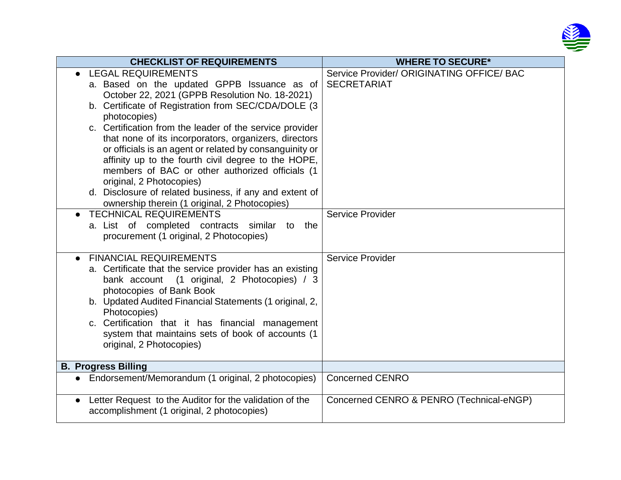

| <b>CHECKLIST OF REQUIREMENTS</b>                                                                                                                                                                                                                                                                                                                                                                                                                                                                                                                                                                                                                                 | <b>WHERE TO SECURE*</b>                                                             |
|------------------------------------------------------------------------------------------------------------------------------------------------------------------------------------------------------------------------------------------------------------------------------------------------------------------------------------------------------------------------------------------------------------------------------------------------------------------------------------------------------------------------------------------------------------------------------------------------------------------------------------------------------------------|-------------------------------------------------------------------------------------|
| <b>LEGAL REQUIREMENTS</b><br>a. Based on the updated GPPB Issuance as of<br>October 22, 2021 (GPPB Resolution No. 18-2021)<br>b. Certificate of Registration from SEC/CDA/DOLE (3)<br>photocopies)<br>c. Certification from the leader of the service provider<br>that none of its incorporators, organizers, directors<br>or officials is an agent or related by consanguinity or<br>affinity up to the fourth civil degree to the HOPE,<br>members of BAC or other authorized officials (1<br>original, 2 Photocopies)<br>d. Disclosure of related business, if any and extent of<br>ownership therein (1 original, 2 Photocopies)<br>• TECHNICAL REQUIREMENTS | Service Provider/ ORIGINATING OFFICE/ BAC<br><b>SECRETARIAT</b><br>Service Provider |
| a. List of completed contracts similar<br>to the<br>procurement (1 original, 2 Photocopies)                                                                                                                                                                                                                                                                                                                                                                                                                                                                                                                                                                      |                                                                                     |
| <b>FINANCIAL REQUIREMENTS</b><br>$\bullet$<br>a. Certificate that the service provider has an existing<br>bank account (1 original, 2 Photocopies) / 3<br>photocopies of Bank Book<br>b. Updated Audited Financial Statements (1 original, 2,<br>Photocopies)<br>c. Certification that it has financial management<br>system that maintains sets of book of accounts (1<br>original, 2 Photocopies)                                                                                                                                                                                                                                                              | <b>Service Provider</b>                                                             |
| <b>B. Progress Billing</b>                                                                                                                                                                                                                                                                                                                                                                                                                                                                                                                                                                                                                                       |                                                                                     |
| Endorsement/Memorandum (1 original, 2 photocopies)                                                                                                                                                                                                                                                                                                                                                                                                                                                                                                                                                                                                               | <b>Concerned CENRO</b>                                                              |
| Letter Request to the Auditor for the validation of the<br>accomplishment (1 original, 2 photocopies)                                                                                                                                                                                                                                                                                                                                                                                                                                                                                                                                                            | Concerned CENRO & PENRO (Technical-eNGP)                                            |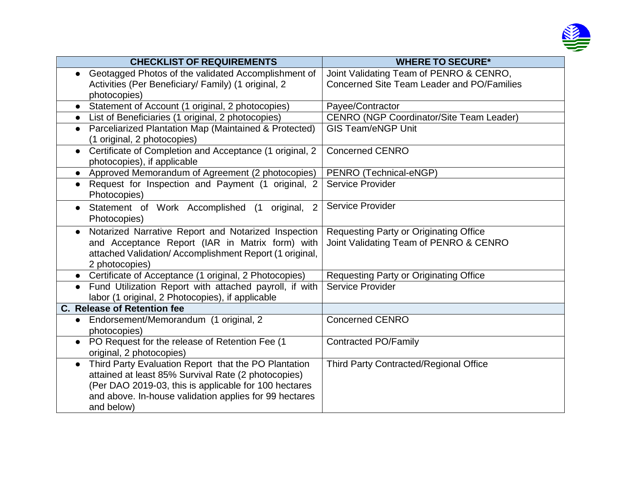

| <b>CHECKLIST OF REQUIREMENTS</b>                                                                    | <b>WHERE TO SECURE*</b>                         |
|-----------------------------------------------------------------------------------------------------|-------------------------------------------------|
| Geotagged Photos of the validated Accomplishment of                                                 | Joint Validating Team of PENRO & CENRO,         |
| Activities (Per Beneficiary/ Family) (1 original, 2                                                 | Concerned Site Team Leader and PO/Families      |
| photocopies)                                                                                        |                                                 |
| • Statement of Account (1 original, 2 photocopies)                                                  | Payee/Contractor                                |
| List of Beneficiaries (1 original, 2 photocopies)<br>$\bullet$                                      | <b>CENRO (NGP Coordinator/Site Team Leader)</b> |
| Parceliarized Plantation Map (Maintained & Protected)<br>$\bullet$<br>(1 original, 2 photocopies)   | <b>GIS Team/eNGP Unit</b>                       |
| Certificate of Completion and Acceptance (1 original, 2<br>$\bullet$<br>photocopies), if applicable | <b>Concerned CENRO</b>                          |
| Approved Memorandum of Agreement (2 photocopies)<br>$\bullet$                                       | PENRO (Technical-eNGP)                          |
| Request for Inspection and Payment (1 original, 2<br>$\bullet$<br>Photocopies)                      | <b>Service Provider</b>                         |
| Statement of Work Accomplished (1 original,<br>$\overline{2}$<br>Photocopies)                       | Service Provider                                |
| Notarized Narrative Report and Notarized Inspection                                                 | <b>Requesting Party or Originating Office</b>   |
| and Acceptance Report (IAR in Matrix form) with                                                     | Joint Validating Team of PENRO & CENRO          |
| attached Validation/Accomplishment Report (1 original,                                              |                                                 |
| 2 photocopies)                                                                                      |                                                 |
| • Certificate of Acceptance (1 original, 2 Photocopies)                                             | <b>Requesting Party or Originating Office</b>   |
| Fund Utilization Report with attached payroll, if with<br>$\bullet$                                 | Service Provider                                |
| labor (1 original, 2 Photocopies), if applicable                                                    |                                                 |
| C. Release of Retention fee                                                                         |                                                 |
| Endorsement/Memorandum (1 original, 2<br>$\bullet$                                                  | <b>Concerned CENRO</b>                          |
| photocopies)                                                                                        |                                                 |
| • PO Request for the release of Retention Fee (1                                                    | <b>Contracted PO/Family</b>                     |
| original, 2 photocopies)                                                                            |                                                 |
| Third Party Evaluation Report that the PO Plantation<br>$\bullet$                                   | <b>Third Party Contracted/Regional Office</b>   |
| attained at least 85% Survival Rate (2 photocopies)                                                 |                                                 |
| (Per DAO 2019-03, this is applicable for 100 hectares                                               |                                                 |
| and above. In-house validation applies for 99 hectares                                              |                                                 |
| and below)                                                                                          |                                                 |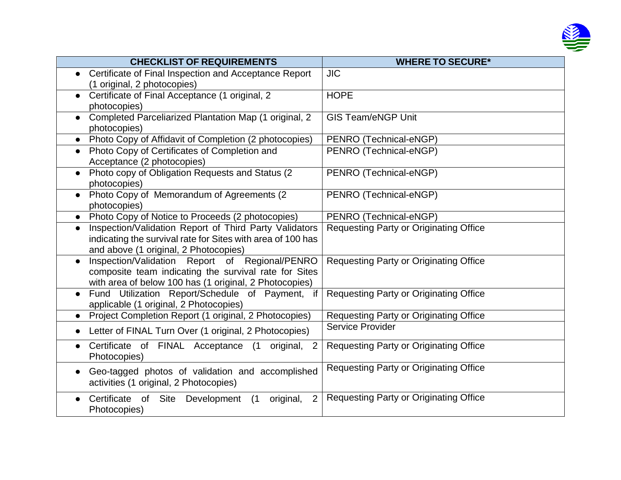

| <b>CHECKLIST OF REQUIREMENTS</b>                                    | <b>WHERE TO SECURE*</b>                       |
|---------------------------------------------------------------------|-----------------------------------------------|
| Certificate of Final Inspection and Acceptance Report               | <b>JIC</b>                                    |
| (1 original, 2 photocopies)                                         |                                               |
| Certificate of Final Acceptance (1 original, 2<br>$\bullet$         | <b>HOPE</b>                                   |
| photocopies)                                                        |                                               |
| Completed Parceliarized Plantation Map (1 original, 2               | <b>GIS Team/eNGP Unit</b>                     |
| photocopies)                                                        |                                               |
| Photo Copy of Affidavit of Completion (2 photocopies)<br>$\bullet$  | PENRO (Technical-eNGP)                        |
| Photo Copy of Certificates of Completion and<br>$\bullet$           | PENRO (Technical-eNGP)                        |
| Acceptance (2 photocopies)                                          |                                               |
| Photo copy of Obligation Requests and Status (2)<br>$\bullet$       | PENRO (Technical-eNGP)                        |
| photocopies)                                                        |                                               |
| Photo Copy of Memorandum of Agreements (2)<br>$\bullet$             | PENRO (Technical-eNGP)                        |
| photocopies)                                                        |                                               |
| Photo Copy of Notice to Proceeds (2 photocopies)<br>$\bullet$       | PENRO (Technical-eNGP)                        |
| Inspection/Validation Report of Third Party Validators<br>$\bullet$ | <b>Requesting Party or Originating Office</b> |
| indicating the survival rate for Sites with area of 100 has         |                                               |
| and above (1 original, 2 Photocopies)                               |                                               |
| Inspection/Validation Report of Regional/PENRO<br>$\bullet$         | <b>Requesting Party or Originating Office</b> |
| composite team indicating the survival rate for Sites               |                                               |
| with area of below 100 has (1 original, 2 Photocopies)              |                                               |
| Fund Utilization Report/Schedule of Payment, if<br>$\bullet$        | Requesting Party or Originating Office        |
| applicable (1 original, 2 Photocopies)                              |                                               |
| Project Completion Report (1 original, 2 Photocopies)               | Requesting Party or Originating Office        |
| • Letter of FINAL Turn Over (1 original, 2 Photocopies)             | Service Provider                              |
| Certificate of FINAL Acceptance<br>(1)<br>original,<br>2            | Requesting Party or Originating Office        |
| Photocopies)                                                        |                                               |
| Geo-tagged photos of validation and accomplished                    | <b>Requesting Party or Originating Office</b> |
| activities (1 original, 2 Photocopies)                              |                                               |
| 2<br>Certificate of Site Development<br>original,<br>(1)            | <b>Requesting Party or Originating Office</b> |
| Photocopies)                                                        |                                               |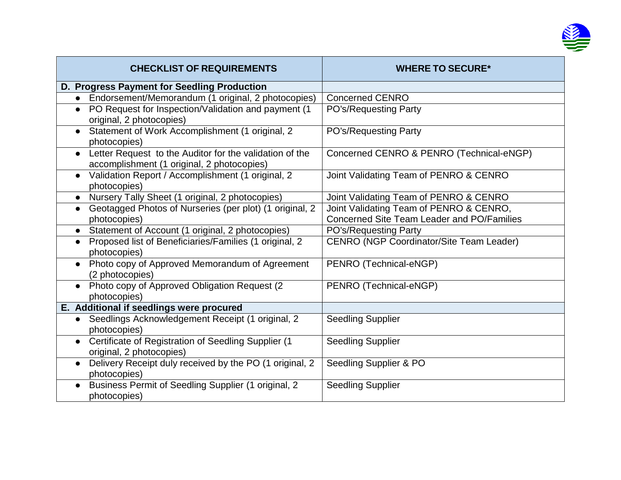

| <b>CHECKLIST OF REQUIREMENTS</b>                                                                                   | <b>WHERE TO SECURE*</b>                                                               |
|--------------------------------------------------------------------------------------------------------------------|---------------------------------------------------------------------------------------|
| D. Progress Payment for Seedling Production                                                                        |                                                                                       |
| • Endorsement/Memorandum (1 original, 2 photocopies)                                                               | <b>Concerned CENRO</b>                                                                |
| PO Request for Inspection/Validation and payment (1<br>$\bullet$<br>original, 2 photocopies)                       | PO's/Requesting Party                                                                 |
| Statement of Work Accomplishment (1 original, 2<br>photocopies)                                                    | PO's/Requesting Party                                                                 |
| Letter Request to the Auditor for the validation of the<br>$\bullet$<br>accomplishment (1 original, 2 photocopies) | Concerned CENRO & PENRO (Technical-eNGP)                                              |
| Validation Report / Accomplishment (1 original, 2<br>$\bullet$<br>photocopies)                                     | Joint Validating Team of PENRO & CENRO                                                |
| Nursery Tally Sheet (1 original, 2 photocopies)                                                                    | Joint Validating Team of PENRO & CENRO                                                |
| Geotagged Photos of Nurseries (per plot) (1 original, 2<br>$\bullet$<br>photocopies)                               | Joint Validating Team of PENRO & CENRO,<br>Concerned Site Team Leader and PO/Families |
| Statement of Account (1 original, 2 photocopies)<br>$\bullet$                                                      | PO's/Requesting Party                                                                 |
| Proposed list of Beneficiaries/Families (1 original, 2<br>$\bullet$<br>photocopies)                                | <b>CENRO (NGP Coordinator/Site Team Leader)</b>                                       |
| Photo copy of Approved Memorandum of Agreement<br>(2 photocopies)                                                  | PENRO (Technical-eNGP)                                                                |
| • Photo copy of Approved Obligation Request (2)<br>photocopies)                                                    | PENRO (Technical-eNGP)                                                                |
| E. Additional if seedlings were procured                                                                           |                                                                                       |
| Seedlings Acknowledgement Receipt (1 original, 2<br>$\bullet$<br>photocopies)                                      | <b>Seedling Supplier</b>                                                              |
| Certificate of Registration of Seedling Supplier (1<br>original, 2 photocopies)                                    | <b>Seedling Supplier</b>                                                              |
| Delivery Receipt duly received by the PO (1 original, 2<br>$\bullet$<br>photocopies)                               | Seedling Supplier & PO                                                                |
| Business Permit of Seedling Supplier (1 original, 2<br>$\bullet$<br>photocopies)                                   | <b>Seedling Supplier</b>                                                              |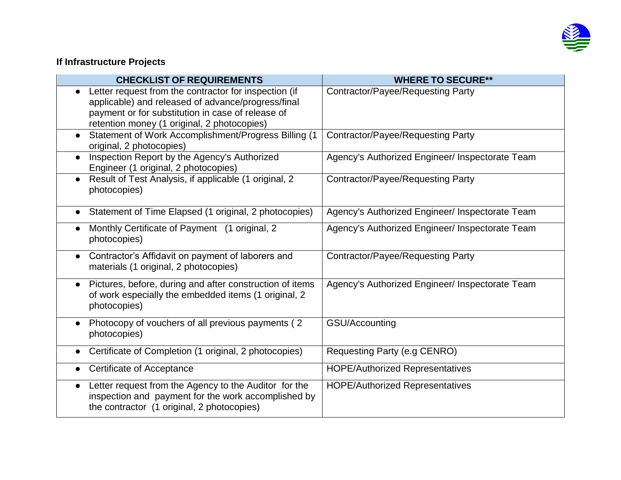

## **If Infrastructure Projects**

| <b>CHECKLIST OF REQUIREMENTS</b>                                                                                                                                                                                | <b>WHERE TO SECURE**</b>                        |
|-----------------------------------------------------------------------------------------------------------------------------------------------------------------------------------------------------------------|-------------------------------------------------|
| Letter request from the contractor for inspection (if<br>applicable) and released of advance/progress/final<br>payment or for substitution in case of release of<br>retention money (1 original, 2 photocopies) | <b>Contractor/Payee/Requesting Party</b>        |
| Statement of Work Accomplishment/Progress Billing (1)<br>$\bullet$<br>original, 2 photocopies)                                                                                                                  | Contractor/Payee/Requesting Party               |
| Inspection Report by the Agency's Authorized<br>Engineer (1 original, 2 photocopies)                                                                                                                            | Agency's Authorized Engineer/ Inspectorate Team |
| Result of Test Analysis, if applicable (1 original, 2<br>photocopies)                                                                                                                                           | <b>Contractor/Payee/Requesting Party</b>        |
| Statement of Time Elapsed (1 original, 2 photocopies)                                                                                                                                                           | Agency's Authorized Engineer/ Inspectorate Team |
| Monthly Certificate of Payment (1 original, 2<br>photocopies)                                                                                                                                                   | Agency's Authorized Engineer/ Inspectorate Team |
| • Contractor's Affidavit on payment of laborers and<br>materials (1 original, 2 photocopies)                                                                                                                    | Contractor/Payee/Requesting Party               |
| Pictures, before, during and after construction of items<br>of work especially the embedded items (1 original, 2<br>photocopies)                                                                                | Agency's Authorized Engineer/ Inspectorate Team |
| Photocopy of vouchers of all previous payments (2)<br>$\bullet$<br>photocopies)                                                                                                                                 | GSU/Accounting                                  |
| Certificate of Completion (1 original, 2 photocopies)<br>$\bullet$                                                                                                                                              | Requesting Party (e.g CENRO)                    |
| Certificate of Acceptance                                                                                                                                                                                       | <b>HOPE/Authorized Representatives</b>          |
| Letter request from the Agency to the Auditor for the<br>$\bullet$<br>inspection and payment for the work accomplished by<br>the contractor (1 original, 2 photocopies)                                         | <b>HOPE/Authorized Representatives</b>          |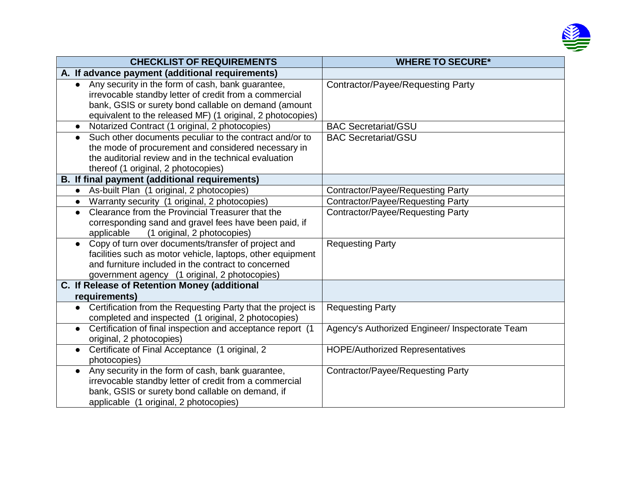

| <b>CHECKLIST OF REQUIREMENTS</b>                                                                                                                                                                                                               | <b>WHERE TO SECURE*</b>                         |  |  |
|------------------------------------------------------------------------------------------------------------------------------------------------------------------------------------------------------------------------------------------------|-------------------------------------------------|--|--|
| A. If advance payment (additional requirements)                                                                                                                                                                                                |                                                 |  |  |
| Any security in the form of cash, bank guarantee,<br>$\bullet$<br>irrevocable standby letter of credit from a commercial<br>bank, GSIS or surety bond callable on demand (amount<br>equivalent to the released MF) (1 original, 2 photocopies) | Contractor/Payee/Requesting Party               |  |  |
| Notarized Contract (1 original, 2 photocopies)<br>$\bullet$                                                                                                                                                                                    | <b>BAC Secretariat/GSU</b>                      |  |  |
| Such other documents peculiar to the contract and/or to<br>$\bullet$<br>the mode of procurement and considered necessary in<br>the auditorial review and in the technical evaluation<br>thereof (1 original, 2 photocopies)                    | <b>BAC Secretariat/GSU</b>                      |  |  |
| <b>B.</b> If final payment (additional requirements)                                                                                                                                                                                           |                                                 |  |  |
| As-built Plan (1 original, 2 photocopies)<br>$\bullet$                                                                                                                                                                                         | <b>Contractor/Payee/Requesting Party</b>        |  |  |
| Warranty security (1 original, 2 photocopies)<br>$\bullet$                                                                                                                                                                                     | <b>Contractor/Payee/Requesting Party</b>        |  |  |
| Clearance from the Provincial Treasurer that the<br>$\bullet$<br>corresponding sand and gravel fees have been paid, if<br>(1 original, 2 photocopies)<br>applicable                                                                            | <b>Contractor/Payee/Requesting Party</b>        |  |  |
| Copy of turn over documents/transfer of project and<br>$\bullet$<br>facilities such as motor vehicle, laptops, other equipment<br>and furniture included in the contract to concerned<br>government agency (1 original, 2 photocopies)         | <b>Requesting Party</b>                         |  |  |
| C. If Release of Retention Money (additional                                                                                                                                                                                                   |                                                 |  |  |
| requirements)                                                                                                                                                                                                                                  |                                                 |  |  |
| Certification from the Requesting Party that the project is<br>$\bullet$<br>completed and inspected (1 original, 2 photocopies)                                                                                                                | <b>Requesting Party</b>                         |  |  |
| Certification of final inspection and acceptance report (1<br>$\bullet$<br>original, 2 photocopies)                                                                                                                                            | Agency's Authorized Engineer/ Inspectorate Team |  |  |
| Certificate of Final Acceptance (1 original, 2<br>$\bullet$<br>photocopies)                                                                                                                                                                    | <b>HOPE/Authorized Representatives</b>          |  |  |
| Any security in the form of cash, bank guarantee,<br>$\bullet$<br>irrevocable standby letter of credit from a commercial<br>bank, GSIS or surety bond callable on demand, if<br>applicable (1 original, 2 photocopies)                         | <b>Contractor/Payee/Requesting Party</b>        |  |  |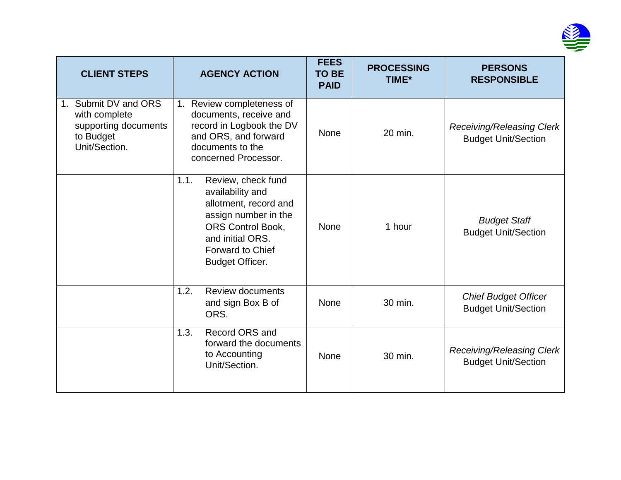

| <b>CLIENT STEPS</b>                                                                            | <b>AGENCY ACTION</b>                                                                                                                                                                                 | <b>FEES</b><br><b>TO BE</b><br><b>PAID</b> | <b>PROCESSING</b><br>TIME* | <b>PERSONS</b><br><b>RESPONSIBLE</b>                           |
|------------------------------------------------------------------------------------------------|------------------------------------------------------------------------------------------------------------------------------------------------------------------------------------------------------|--------------------------------------------|----------------------------|----------------------------------------------------------------|
| Submit DV and ORS<br>1.<br>with complete<br>supporting documents<br>to Budget<br>Unit/Section. | 1. Review completeness of<br>documents, receive and<br>record in Logbook the DV<br>and ORS, and forward<br>documents to the<br>concerned Processor.                                                  | <b>None</b>                                | 20 min.                    | <b>Receiving/Releasing Clerk</b><br><b>Budget Unit/Section</b> |
|                                                                                                | Review, check fund<br>1.1.<br>availability and<br>allotment, record and<br>assign number in the<br><b>ORS Control Book,</b><br>and initial ORS.<br><b>Forward to Chief</b><br><b>Budget Officer.</b> | <b>None</b>                                | 1 hour                     | <b>Budget Staff</b><br><b>Budget Unit/Section</b>              |
|                                                                                                | 1.2.<br><b>Review documents</b><br>and sign Box B of<br>ORS.                                                                                                                                         | <b>None</b>                                | 30 min.                    | <b>Chief Budget Officer</b><br><b>Budget Unit/Section</b>      |
|                                                                                                | Record ORS and<br>1.3.<br>forward the documents<br>to Accounting<br>Unit/Section.                                                                                                                    | <b>None</b>                                | 30 min.                    | <b>Receiving/Releasing Clerk</b><br><b>Budget Unit/Section</b> |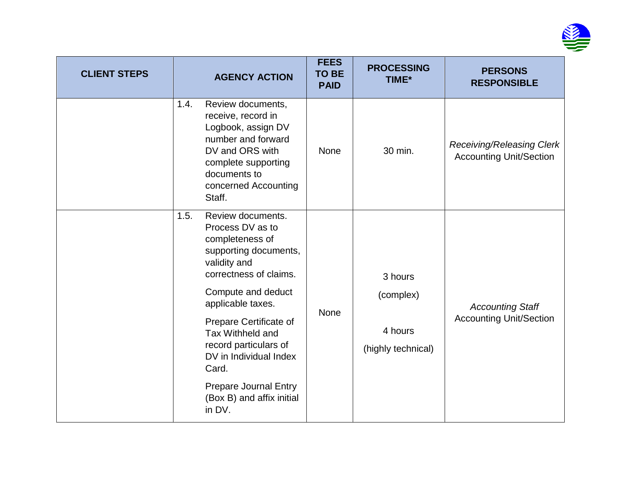

| <b>CLIENT STEPS</b> | <b>AGENCY ACTION</b>                                                                                                                                                                                                                                                                     | <b>FEES</b><br><b>TO BE</b><br><b>PAID</b> | <b>PROCESSING</b><br>TIME*                            | <b>PERSONS</b><br><b>RESPONSIBLE</b>                               |
|---------------------|------------------------------------------------------------------------------------------------------------------------------------------------------------------------------------------------------------------------------------------------------------------------------------------|--------------------------------------------|-------------------------------------------------------|--------------------------------------------------------------------|
|                     | Review documents,<br>1.4.<br>receive, record in<br>Logbook, assign DV<br>number and forward<br>DV and ORS with<br>complete supporting<br>documents to<br>concerned Accounting<br>Staff.                                                                                                  | <b>None</b>                                | 30 min.                                               | <b>Receiving/Releasing Clerk</b><br><b>Accounting Unit/Section</b> |
|                     | Review documents.<br>1.5.<br>Process DV as to<br>completeness of<br>supporting documents,<br>validity and<br>correctness of claims.<br>Compute and deduct<br>applicable taxes.<br>Prepare Certificate of<br>Tax Withheld and<br>record particulars of<br>DV in Individual Index<br>Card. | None                                       | 3 hours<br>(complex)<br>4 hours<br>(highly technical) | <b>Accounting Staff</b><br><b>Accounting Unit/Section</b>          |
|                     | <b>Prepare Journal Entry</b><br>(Box B) and affix initial<br>in DV.                                                                                                                                                                                                                      |                                            |                                                       |                                                                    |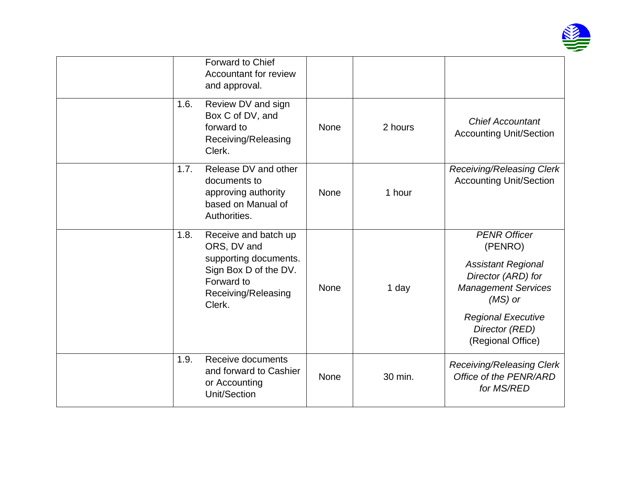

|      | Forward to Chief<br>Accountant for review<br>and approval.                                                                           |             |         |                                                                                                                                                                                                  |
|------|--------------------------------------------------------------------------------------------------------------------------------------|-------------|---------|--------------------------------------------------------------------------------------------------------------------------------------------------------------------------------------------------|
| 1.6. | Review DV and sign<br>Box C of DV, and<br>forward to<br>Receiving/Releasing<br>Clerk.                                                | <b>None</b> | 2 hours | <b>Chief Accountant</b><br><b>Accounting Unit/Section</b>                                                                                                                                        |
| 1.7. | Release DV and other<br>documents to<br>approving authority<br>based on Manual of<br>Authorities.                                    | <b>None</b> | 1 hour  | <b>Receiving/Releasing Clerk</b><br><b>Accounting Unit/Section</b>                                                                                                                               |
| 1.8. | Receive and batch up<br>ORS, DV and<br>supporting documents.<br>Sign Box D of the DV.<br>Forward to<br>Receiving/Releasing<br>Clerk. | <b>None</b> | 1 day   | <b>PENR Officer</b><br>(PENRO)<br><b>Assistant Regional</b><br>Director (ARD) for<br><b>Management Services</b><br>$(MS)$ or<br><b>Regional Executive</b><br>Director (RED)<br>(Regional Office) |
| 1.9. | Receive documents<br>and forward to Cashier<br>or Accounting<br>Unit/Section                                                         | None        | 30 min. | Receiving/Releasing Clerk<br>Office of the PENR/ARD<br>for MS/RED                                                                                                                                |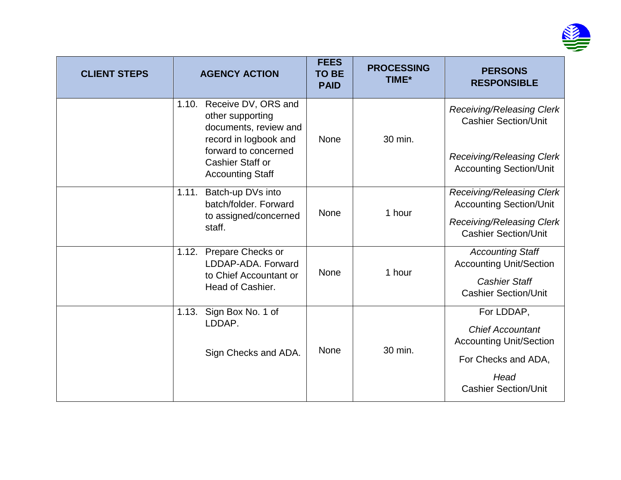

| <b>CLIENT STEPS</b> |       | <b>AGENCY ACTION</b>                                                                      | <b>FEES</b><br><b>TO BE</b><br><b>PAID</b> | <b>PROCESSING</b><br><b>TIME*</b> | <b>PERSONS</b><br><b>RESPONSIBLE</b>                            |                                                           |                                                                    |
|---------------------|-------|-------------------------------------------------------------------------------------------|--------------------------------------------|-----------------------------------|-----------------------------------------------------------------|-----------------------------------------------------------|--------------------------------------------------------------------|
|                     | 1.10. | Receive DV, ORS and<br>other supporting<br>documents, review and<br>record in logbook and | <b>None</b>                                | 30 min.                           | Receiving/Releasing Clerk<br><b>Cashier Section/Unit</b>        |                                                           |                                                                    |
|                     |       | forward to concerned<br>Cashier Staff or<br><b>Accounting Staff</b>                       |                                            |                                   |                                                                 |                                                           | <b>Receiving/Releasing Clerk</b><br><b>Accounting Section/Unit</b> |
|                     | 1.11. | Batch-up DVs into<br>batch/folder, Forward                                                |                                            |                                   | Receiving/Releasing Clerk<br><b>Accounting Section/Unit</b>     |                                                           |                                                                    |
|                     |       | to assigned/concerned<br>staff.                                                           | None                                       | 1 hour                            | <b>Receiving/Releasing Clerk</b><br><b>Cashier Section/Unit</b> |                                                           |                                                                    |
|                     | 1.12. | Prepare Checks or<br>LDDAP-ADA, Forward                                                   | <b>None</b>                                |                                   |                                                                 | 1 hour                                                    | <b>Accounting Staff</b><br><b>Accounting Unit/Section</b>          |
|                     |       | to Chief Accountant or<br>Head of Cashier.                                                |                                            |                                   | <b>Cashier Staff</b><br><b>Cashier Section/Unit</b>             |                                                           |                                                                    |
|                     | 1.13. | Sign Box No. 1 of                                                                         |                                            |                                   | For LDDAP,                                                      |                                                           |                                                                    |
|                     |       | LDDAP.                                                                                    | None                                       |                                   |                                                                 | <b>Chief Accountant</b><br><b>Accounting Unit/Section</b> |                                                                    |
|                     |       | Sign Checks and ADA.                                                                      |                                            | 30 min.                           | For Checks and ADA,                                             |                                                           |                                                                    |
|                     |       |                                                                                           |                                            |                                   | Head<br><b>Cashier Section/Unit</b>                             |                                                           |                                                                    |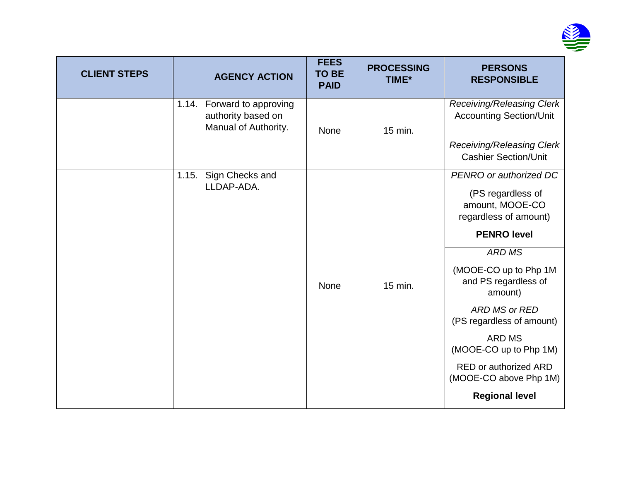

| <b>CLIENT STEPS</b> | <b>AGENCY ACTION</b>                                                        | <b>FEES</b><br><b>TO BE</b><br><b>PAID</b> | <b>PROCESSING</b><br>TIME* | <b>PERSONS</b><br><b>RESPONSIBLE</b>                                                                                                  |
|---------------------|-----------------------------------------------------------------------------|--------------------------------------------|----------------------------|---------------------------------------------------------------------------------------------------------------------------------------|
|                     | Forward to approving<br>1.14.<br>authority based on<br>Manual of Authority. | <b>None</b>                                | 15 min.                    | <b>Receiving/Releasing Clerk</b><br><b>Accounting Section/Unit</b><br><b>Receiving/Releasing Clerk</b><br><b>Cashier Section/Unit</b> |
|                     | 1.15. Sign Checks and<br>LLDAP-ADA.                                         |                                            |                            | PENRO or authorized DC<br>(PS regardless of<br>amount, MOOE-CO<br>regardless of amount)<br><b>PENRO level</b>                         |
|                     |                                                                             | <b>None</b>                                | 15 min.                    | <b>ARD MS</b><br>(MOOE-CO up to Php 1M<br>and PS regardless of<br>amount)<br>ARD MS or RED                                            |
|                     |                                                                             |                                            |                            | (PS regardless of amount)<br><b>ARD MS</b><br>(MOOE-CO up to Php 1M)<br>RED or authorized ARD<br>(MOOE-CO above Php 1M)               |
|                     |                                                                             |                                            |                            | <b>Regional level</b>                                                                                                                 |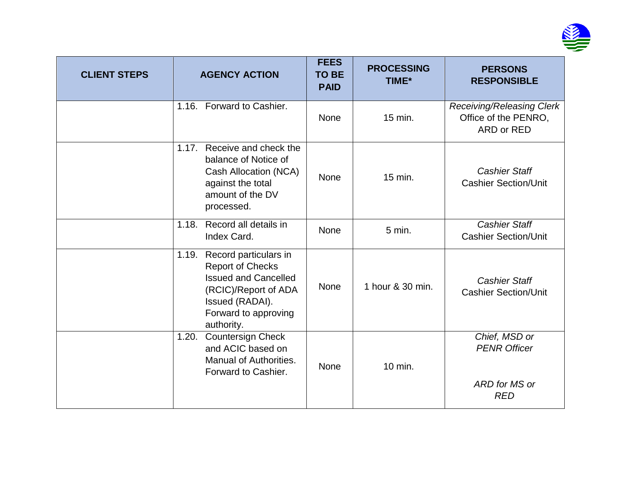

| <b>CLIENT STEPS</b> | <b>AGENCY ACTION</b>                                                                                                                                                      | <b>FEES</b><br><b>TO BE</b><br><b>PAID</b> | <b>PROCESSING</b><br>TIME* | <b>PERSONS</b><br><b>RESPONSIBLE</b>                                |
|---------------------|---------------------------------------------------------------------------------------------------------------------------------------------------------------------------|--------------------------------------------|----------------------------|---------------------------------------------------------------------|
|                     | 1.16. Forward to Cashier.                                                                                                                                                 | None                                       | 15 min.                    | Receiving/Releasing Clerk<br>Office of the PENRO,<br>ARD or RED     |
|                     | Receive and check the<br>1.17.<br>balance of Notice of<br>Cash Allocation (NCA)<br>against the total<br>amount of the DV<br>processed.                                    | <b>None</b>                                | 15 min.                    | <b>Cashier Staff</b><br><b>Cashier Section/Unit</b>                 |
|                     | Record all details in<br>1.18.<br>Index Card.                                                                                                                             | None                                       | 5 min.                     | <b>Cashier Staff</b><br><b>Cashier Section/Unit</b>                 |
|                     | Record particulars in<br>1.19.<br><b>Report of Checks</b><br><b>Issued and Cancelled</b><br>(RCIC)/Report of ADA<br>Issued (RADAI).<br>Forward to approving<br>authority. | None                                       | 1 hour & 30 min.           | <b>Cashier Staff</b><br><b>Cashier Section/Unit</b>                 |
|                     | <b>Countersign Check</b><br>1.20.<br>and ACIC based on<br>Manual of Authorities.<br>Forward to Cashier.                                                                   | <b>None</b>                                | 10 min.                    | Chief, MSD or<br><b>PENR Officer</b><br>ARD for MS or<br><b>RED</b> |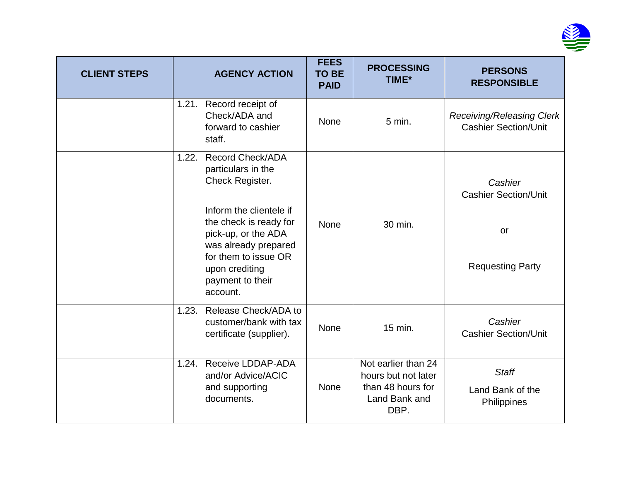

| <b>CLIENT STEPS</b> | <b>AGENCY ACTION</b>                                                                                                                                                                                                                                    | <b>FEES</b><br><b>TO BE</b><br><b>PAID</b> | <b>PROCESSING</b><br>TIME*                                                               | <b>PERSONS</b><br><b>RESPONSIBLE</b>                                           |
|---------------------|---------------------------------------------------------------------------------------------------------------------------------------------------------------------------------------------------------------------------------------------------------|--------------------------------------------|------------------------------------------------------------------------------------------|--------------------------------------------------------------------------------|
|                     | 1.21. Record receipt of<br>Check/ADA and<br>forward to cashier<br>staff.                                                                                                                                                                                | <b>None</b>                                | 5 min.                                                                                   | <b>Receiving/Releasing Clerk</b><br><b>Cashier Section/Unit</b>                |
|                     | <b>Record Check/ADA</b><br>1.22.<br>particulars in the<br>Check Register.<br>Inform the clientele if<br>the check is ready for<br>pick-up, or the ADA<br>was already prepared<br>for them to issue OR<br>upon crediting<br>payment to their<br>account. | None                                       | 30 min.                                                                                  | Cashier<br><b>Cashier Section/Unit</b><br><b>or</b><br><b>Requesting Party</b> |
|                     | Release Check/ADA to<br>1.23.<br>customer/bank with tax<br>certificate (supplier).                                                                                                                                                                      | <b>None</b>                                | 15 min.                                                                                  | Cashier<br><b>Cashier Section/Unit</b>                                         |
|                     | Receive LDDAP-ADA<br>1.24.<br>and/or Advice/ACIC<br>and supporting<br>documents.                                                                                                                                                                        | <b>None</b>                                | Not earlier than 24<br>hours but not later<br>than 48 hours for<br>Land Bank and<br>DBP. | <b>Staff</b><br>Land Bank of the<br>Philippines                                |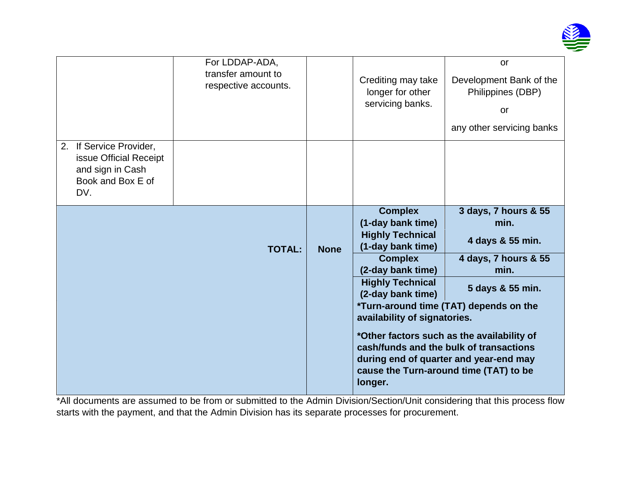

| For LDDAP-ADA,<br>transfer amount to<br>respective accounts. |               | Crediting may take<br>longer for other<br>servicing banks. | or<br>Development Bank of the<br>Philippines (DBP)<br><b>or</b><br>any other servicing banks                                                                                                                        |
|--------------------------------------------------------------|---------------|------------------------------------------------------------|---------------------------------------------------------------------------------------------------------------------------------------------------------------------------------------------------------------------|
|                                                              |               |                                                            |                                                                                                                                                                                                                     |
|                                                              |               |                                                            | 3 days, 7 hours & 55<br>min.                                                                                                                                                                                        |
|                                                              |               |                                                            | 4 days & 55 min.                                                                                                                                                                                                    |
|                                                              |               | <b>Complex</b><br>(2-day bank time)                        | 4 days, 7 hours & 55<br>min.                                                                                                                                                                                        |
|                                                              |               | <b>Highly Technical</b><br>(2-day bank time)               | 5 days & 55 min.                                                                                                                                                                                                    |
|                                                              |               |                                                            | *Turn-around time (TAT) depends on the<br>*Other factors such as the availability of<br>cash/funds and the bulk of transactions<br>during end of quarter and year-end may<br>cause the Turn-around time (TAT) to be |
|                                                              | <b>TOTAL:</b> | <b>None</b>                                                | <b>Complex</b><br>(1-day bank time)<br><b>Highly Technical</b><br>(1-day bank time)<br>availability of signatories.<br>longer.                                                                                      |

\*All documents are assumed to be from or submitted to the Admin Division/Section/Unit considering that this process flow starts with the payment, and that the Admin Division has its separate processes for procurement.